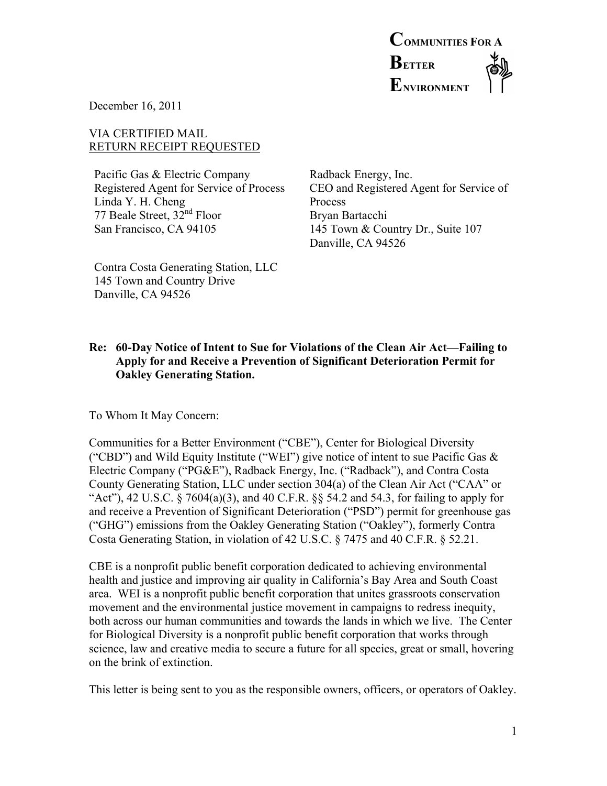

December 16, 2011

## VIA CERTIFIED MAIL RETURN RECEIPT REQUESTED

Pacific Gas & Electric Company Registered Agent for Service of Process Linda Y. H. Cheng 77 Beale Street, 32nd Floor San Francisco, CA 94105

Contra Costa Generating Station, LLC 145 Town and Country Drive Danville, CA 94526

Radback Energy, Inc. CEO and Registered Agent for Service of Process Bryan Bartacchi 145 Town & Country Dr., Suite 107 Danville, CA 94526

### **Re: 60-Day Notice of Intent to Sue for Violations of the Clean Air Act—Failing to Apply for and Receive a Prevention of Significant Deterioration Permit for Oakley Generating Station.**

To Whom It May Concern:

Communities for a Better Environment ("CBE"), Center for Biological Diversity ("CBD") and Wild Equity Institute ("WEI") give notice of intent to sue Pacific Gas  $\&$ Electric Company ("PG&E"), Radback Energy, Inc. ("Radback"), and Contra Costa County Generating Station, LLC under section 304(a) of the Clean Air Act ("CAA" or "Act"), 42 U.S.C. § 7604(a)(3), and 40 C.F.R. §§ 54.2 and 54.3, for failing to apply for and receive a Prevention of Significant Deterioration ("PSD") permit for greenhouse gas ("GHG") emissions from the Oakley Generating Station ("Oakley"), formerly Contra Costa Generating Station, in violation of 42 U.S.C. § 7475 and 40 C.F.R. § 52.21.

CBE is a nonprofit public benefit corporation dedicated to achieving environmental health and justice and improving air quality in California's Bay Area and South Coast area. WEI is a nonprofit public benefit corporation that unites grassroots conservation movement and the environmental justice movement in campaigns to redress inequity, both across our human communities and towards the lands in which we live. The Center for Biological Diversity is a nonprofit public benefit corporation that works through science, law and creative media to secure a future for all species, great or small, hovering on the brink of extinction.

This letter is being sent to you as the responsible owners, officers, or operators of Oakley.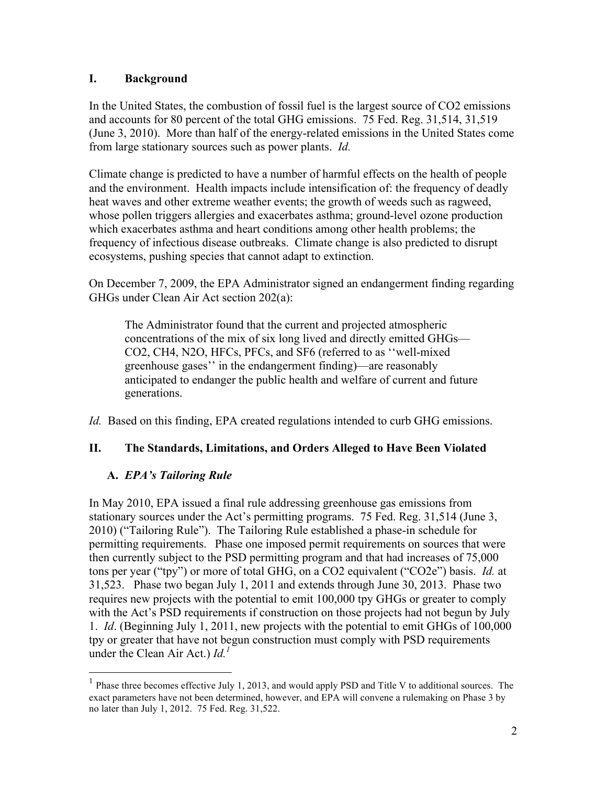## **I. Background**

In the United States, the combustion of fossil fuel is the largest source of CO2 emissions and accounts for 80 percent of the total GHG emissions. 75 Fed. Reg. 31,514, 31,519 (June 3, 2010). More than half of the energy-related emissions in the United States come from large stationary sources such as power plants. *Id.*

Climate change is predicted to have a number of harmful effects on the health of people and the environment. Health impacts include intensification of: the frequency of deadly heat waves and other extreme weather events; the growth of weeds such as ragweed, whose pollen triggers allergies and exacerbates asthma; ground-level ozone production which exacerbates asthma and heart conditions among other health problems; the frequency of infectious disease outbreaks. Climate change is also predicted to disrupt ecosystems, pushing species that cannot adapt to extinction.

On December 7, 2009, the EPA Administrator signed an endangerment finding regarding GHGs under Clean Air Act section 202(a):

The Administrator found that the current and projected atmospheric concentrations of the mix of six long lived and directly emitted GHGs— CO2, CH4, N2O, HFCs, PFCs, and SF6 (referred to as ''well-mixed greenhouse gases'' in the endangerment finding)—are reasonably anticipated to endanger the public health and welfare of current and future generations.

*Id.* Based on this finding, EPA created regulations intended to curb GHG emissions.

## **II. The Standards, Limitations, and Orders Alleged to Have Been Violated**

# **A.** *EPA's Tailoring Rule*

In May 2010, EPA issued a final rule addressing greenhouse gas emissions from stationary sources under the Act's permitting programs. 75 Fed. Reg. 31,514 (June 3, 2010) ("Tailoring Rule"). The Tailoring Rule established a phase-in schedule for permitting requirements. Phase one imposed permit requirements on sources that were then currently subject to the PSD permitting program and that had increases of 75,000 tons per year ("tpy") or more of total GHG, on a CO2 equivalent ("CO2e") basis. *Id.* at 31,523. Phase two began July 1, 2011 and extends through June 30, 2013. Phase two requires new projects with the potential to emit 100,000 tpy GHGs or greater to comply with the Act's PSD requirements if construction on those projects had not begun by July 1. *Id*. (Beginning July 1, 2011, new projects with the potential to emit GHGs of 100,000 tpy or greater that have not begun construction must comply with PSD requirements under the Clean Air Act.)  $Id.$ <sup>1</sup>

 <sup>1</sup> Phase three becomes effective July 1, 2013, and would apply PSD and Title V to additional sources. The exact parameters have not been determined, however, and EPA will convene a rulemaking on Phase 3 by no later than July 1, 2012. 75 Fed. Reg. 31,522.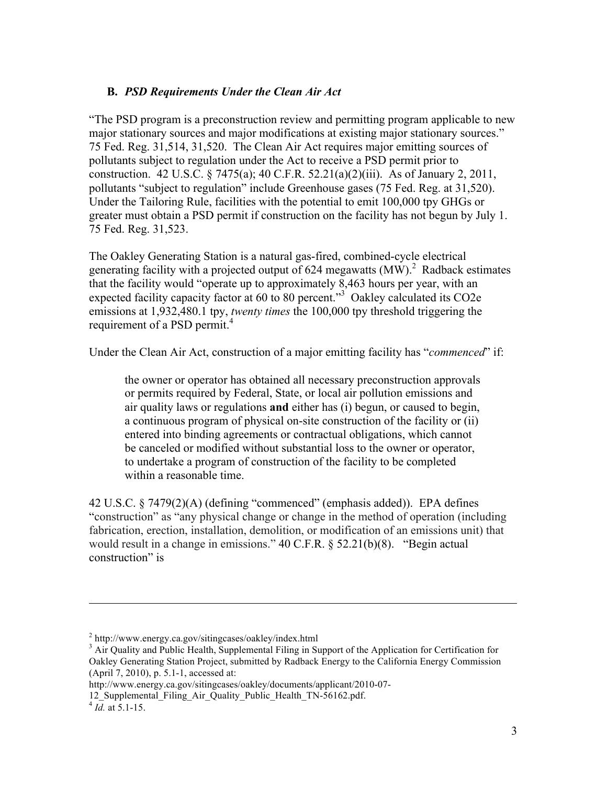### **B.** *PSD Requirements Under the Clean Air Act*

"The PSD program is a preconstruction review and permitting program applicable to new major stationary sources and major modifications at existing major stationary sources." 75 Fed. Reg. 31,514, 31,520. The Clean Air Act requires major emitting sources of pollutants subject to regulation under the Act to receive a PSD permit prior to construction. 42 U.S.C. § 7475(a); 40 C.F.R. 52.21(a)(2)(iii). As of January 2, 2011, pollutants "subject to regulation" include Greenhouse gases (75 Fed. Reg. at 31,520). Under the Tailoring Rule, facilities with the potential to emit 100,000 tpy GHGs or greater must obtain a PSD permit if construction on the facility has not begun by July 1. 75 Fed. Reg. 31,523.

The Oakley Generating Station is a natural gas-fired, combined-cycle electrical generating facility with a projected output of  $624$  megawatts  $(MW)$ <sup>2</sup> Radback estimates that the facility would "operate up to approximately 8,463 hours per year, with an expected facility capacity factor at 60 to 80 percent."<sup>3</sup> Oakley calculated its CO2e emissions at 1,932,480.1 tpy, *twenty times* the 100,000 tpy threshold triggering the requirement of a PSD permit.<sup>4</sup>

Under the Clean Air Act, construction of a major emitting facility has "*commenced*" if:

the owner or operator has obtained all necessary preconstruction approvals or permits required by Federal, State, or local air pollution emissions and air quality laws or regulations **and** either has (i) begun, or caused to begin, a continuous program of physical on-site construction of the facility or (ii) entered into binding agreements or contractual obligations, which cannot be canceled or modified without substantial loss to the owner or operator, to undertake a program of construction of the facility to be completed within a reasonable time.

42 U.S.C. § 7479(2)(A) (defining "commenced" (emphasis added)). EPA defines "construction" as "any physical change or change in the method of operation (including fabrication, erection, installation, demolition, or modification of an emissions unit) that would result in a change in emissions." 40 C.F.R. § 52.21(b)(8). "Begin actual construction" is

<u>.</u>

<sup>2</sup> http://www.energy.ca.gov/sitingcases/oakley/index.html

<sup>&</sup>lt;sup>3</sup> Air Quality and Public Health, Supplemental Filing in Support of the Application for Certification for Oakley Generating Station Project, submitted by Radback Energy to the California Energy Commission (April 7, 2010), p. 5.1-1, accessed at:

http://www.energy.ca.gov/sitingcases/oakley/documents/applicant/2010-07-

<sup>12</sup> Supplemental Filing Air Quality Public Health TN-56162.pdf.

 $^{4}$  *Id.* at 5.1-15.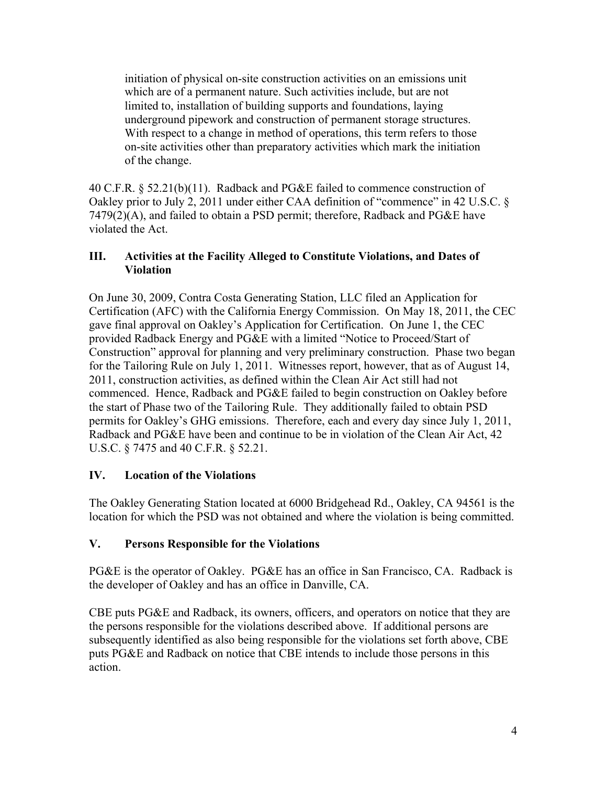initiation of physical on-site construction activities on an emissions unit which are of a permanent nature. Such activities include, but are not limited to, installation of building supports and foundations, laying underground pipework and construction of permanent storage structures. With respect to a change in method of operations, this term refers to those on-site activities other than preparatory activities which mark the initiation of the change.

40 C.F.R. § 52.21(b)(11). Radback and PG&E failed to commence construction of Oakley prior to July 2, 2011 under either CAA definition of "commence" in 42 U.S.C. § 7479(2)(A), and failed to obtain a PSD permit; therefore, Radback and PG&E have violated the Act.

## **III. Activities at the Facility Alleged to Constitute Violations, and Dates of Violation**

On June 30, 2009, Contra Costa Generating Station, LLC filed an Application for Certification (AFC) with the California Energy Commission. On May 18, 2011, the CEC gave final approval on Oakley's Application for Certification. On June 1, the CEC provided Radback Energy and PG&E with a limited "Notice to Proceed/Start of Construction" approval for planning and very preliminary construction. Phase two began for the Tailoring Rule on July 1, 2011. Witnesses report, however, that as of August 14, 2011, construction activities, as defined within the Clean Air Act still had not commenced. Hence, Radback and PG&E failed to begin construction on Oakley before the start of Phase two of the Tailoring Rule. They additionally failed to obtain PSD permits for Oakley's GHG emissions. Therefore, each and every day since July 1, 2011, Radback and PG&E have been and continue to be in violation of the Clean Air Act, 42 U.S.C. § 7475 and 40 C.F.R. § 52.21.

# **IV. Location of the Violations**

The Oakley Generating Station located at 6000 Bridgehead Rd., Oakley, CA 94561 is the location for which the PSD was not obtained and where the violation is being committed.

# **V. Persons Responsible for the Violations**

PG&E is the operator of Oakley. PG&E has an office in San Francisco, CA. Radback is the developer of Oakley and has an office in Danville, CA.

CBE puts PG&E and Radback, its owners, officers, and operators on notice that they are the persons responsible for the violations described above. If additional persons are subsequently identified as also being responsible for the violations set forth above, CBE puts PG&E and Radback on notice that CBE intends to include those persons in this action.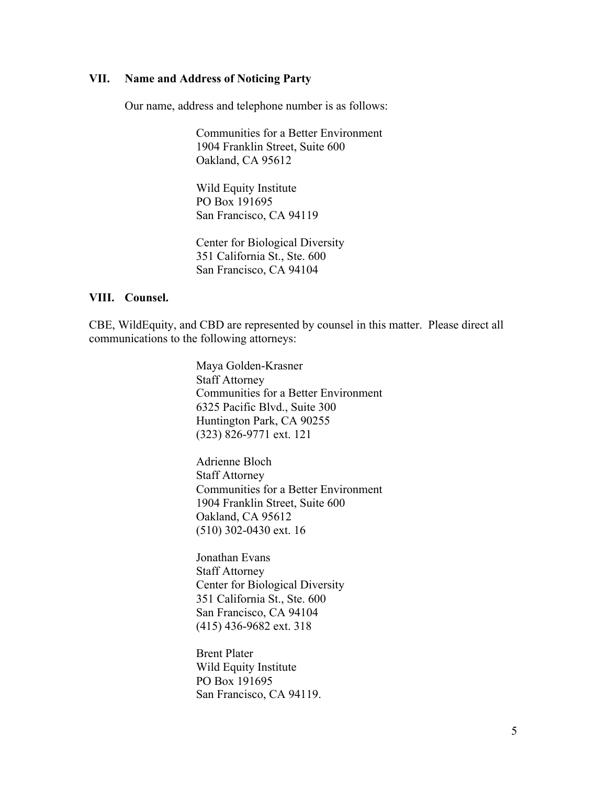#### **VII. Name and Address of Noticing Party**

Our name, address and telephone number is as follows:

Communities for a Better Environment 1904 Franklin Street, Suite 600 Oakland, CA 95612

Wild Equity Institute PO Box 191695 San Francisco, CA 94119

Center for Biological Diversity 351 California St., Ste. 600 San Francisco, CA 94104

### **VIII. Counsel.**

CBE, WildEquity, and CBD are represented by counsel in this matter. Please direct all communications to the following attorneys:

> Maya Golden-Krasner Staff Attorney Communities for a Better Environment 6325 Pacific Blvd., Suite 300 Huntington Park, CA 90255 (323) 826-9771 ext. 121

> Adrienne Bloch Staff Attorney Communities for a Better Environment 1904 Franklin Street, Suite 600 Oakland, CA 95612 (510) 302-0430 ext. 16

Jonathan Evans Staff Attorney Center for Biological Diversity 351 California St., Ste. 600 San Francisco, CA 94104 (415) 436-9682 ext. 318

Brent Plater Wild Equity Institute PO Box 191695 San Francisco, CA 94119.